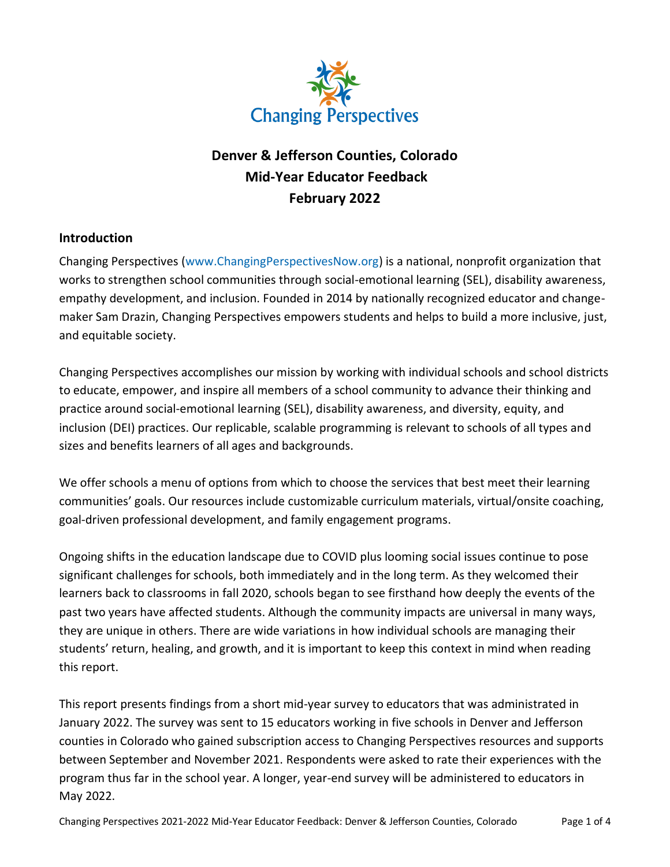

# **Denver & Jefferson Counties, Colorado Mid-Year Educator Feedback February 2022**

# **Introduction**

Changing Perspectives [\(www.ChangingPerspectivesNow.org\)](http://www.changingperspectivesnow.org/) is a national, nonprofit organization that works to strengthen school communities through social-emotional learning (SEL), disability awareness, empathy development, and inclusion. Founded in 2014 by nationally recognized educator and changemaker Sam Drazin, Changing Perspectives empowers students and helps to build a more inclusive, just, and equitable society.

Changing Perspectives accomplishes our mission by working with individual schools and school districts to educate, empower, and inspire all members of a school community to advance their thinking and practice around social-emotional learning (SEL), disability awareness, and diversity, equity, and inclusion (DEI) practices. Our replicable, scalable programming is relevant to schools of all types and sizes and benefits learners of all ages and backgrounds.

We offer schools a menu of options from which to choose the services that best meet their learning communities' goals. Our resources include customizable curriculum materials, virtual/onsite coaching, goal-driven professional development, and family engagement programs.

Ongoing shifts in the education landscape due to COVID plus looming social issues continue to pose significant challenges for schools, both immediately and in the long term. As they welcomed their learners back to classrooms in fall 2020, schools began to see firsthand how deeply the events of the past two years have affected students. Although the community impacts are universal in many ways, they are unique in others. There are wide variations in how individual schools are managing their students' return, healing, and growth, and it is important to keep this context in mind when reading this report.

This report presents findings from a short mid-year survey to educators that was administrated in January 2022. The survey was sent to 15 educators working in five schools in Denver and Jefferson counties in Colorado who gained subscription access to Changing Perspectives resources and supports between September and November 2021. Respondents were asked to rate their experiences with the program thus far in the school year. A longer, year-end survey will be administered to educators in May 2022.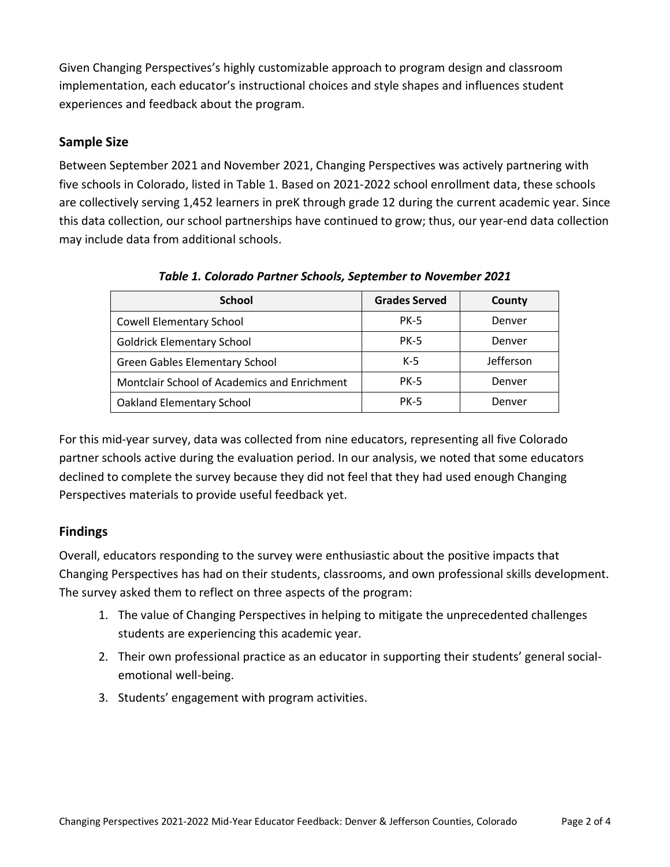Given Changing Perspectives's highly customizable approach to program design and classroom implementation, each educator's instructional choices and style shapes and influences student experiences and feedback about the program.

### **Sample Size**

Between September 2021 and November 2021, Changing Perspectives was actively partnering with five schools in Colorado, listed in Table 1. Based on 2021-2022 school enrollment data, these schools are collectively serving 1,452 learners in preK through grade 12 during the current academic year. Since this data collection, our school partnerships have continued to grow; thus, our year-end data collection may include data from additional schools.

| <b>School</b>                                | <b>Grades Served</b> | County    |
|----------------------------------------------|----------------------|-----------|
| <b>Cowell Elementary School</b>              | <b>PK-5</b>          | Denver    |
| <b>Goldrick Elementary School</b>            | <b>PK-5</b>          | Denver    |
| <b>Green Gables Elementary School</b>        | K-5                  | Jefferson |
| Montclair School of Academics and Enrichment | <b>PK-5</b>          | Denver    |
| <b>Oakland Elementary School</b>             | <b>PK-5</b>          | Denver    |

*Table 1. Colorado Partner Schools, September to November 2021*

For this mid-year survey, data was collected from nine educators, representing all five Colorado partner schools active during the evaluation period. In our analysis, we noted that some educators declined to complete the survey because they did not feel that they had used enough Changing Perspectives materials to provide useful feedback yet.

# **Findings**

Overall, educators responding to the survey were enthusiastic about the positive impacts that Changing Perspectives has had on their students, classrooms, and own professional skills development. The survey asked them to reflect on three aspects of the program:

- 1. The value of Changing Perspectives in helping to mitigate the unprecedented challenges students are experiencing this academic year.
- 2. Their own professional practice as an educator in supporting their students' general socialemotional well-being.
- 3. Students' engagement with program activities.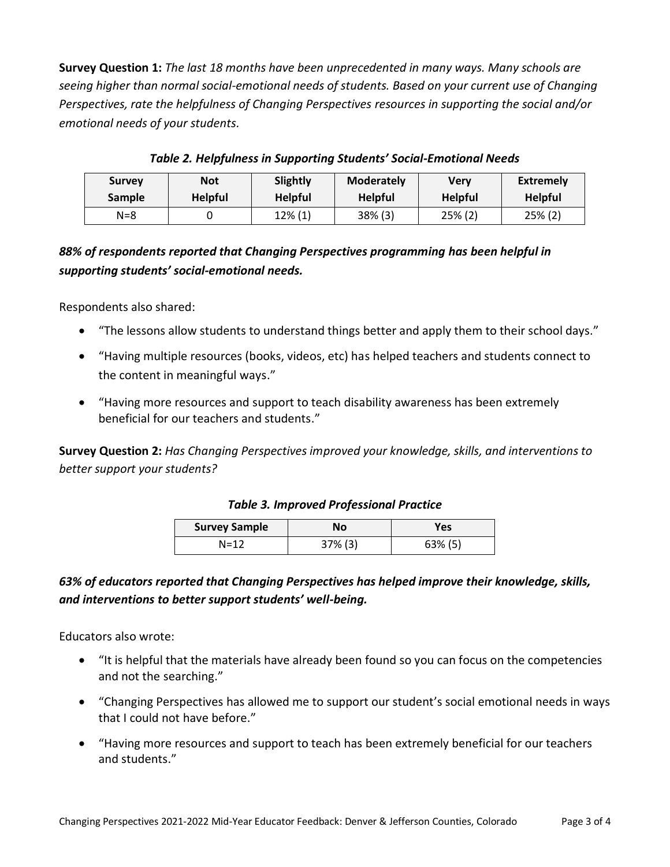**Survey Question 1:** *The last 18 months have been unprecedented in many ways. Many schools are seeing higher than normal social-emotional needs of students. Based on your current use of Changing Perspectives, rate the helpfulness of Changing Perspectives resources in supporting the social and/or emotional needs of your students.*

| <b>Survey</b> | Not            | Slightly       | <b>Moderately</b> | Verv           | <b>Extremely</b> |
|---------------|----------------|----------------|-------------------|----------------|------------------|
| <b>Sample</b> | <b>Helpful</b> | <b>Helpful</b> | <b>Helpful</b>    | <b>Helpful</b> | <b>Helpful</b>   |
| N=8           |                | $12\%$ (1)     | $38\%$ (3)        | 25% (2)        | 25% (2)          |

*Table 2. Helpfulness in Supporting Students' Social-Emotional Needs*

# *88% of respondents reported that Changing Perspectives programming has been helpful in supporting students' social-emotional needs.*

Respondents also shared:

- "The lessons allow students to understand things better and apply them to their school days."
- "Having multiple resources (books, videos, etc) has helped teachers and students connect to the content in meaningful ways."
- "Having more resources and support to teach disability awareness has been extremely beneficial for our teachers and students."

**Survey Question 2:** *Has Changing Perspectives improved your knowledge, skills, and interventions to better support your students?*

#### *Table 3. Improved Professional Practice*

| <b>Survey Sample</b> | No         | Yes     |  |
|----------------------|------------|---------|--|
| N=12                 | $37\%$ (3) | 63% (5) |  |

# *63% of educators reported that Changing Perspectives has helped improve their knowledge, skills, and interventions to better support students' well-being.*

Educators also wrote:

- "It is helpful that the materials have already been found so you can focus on the competencies and not the searching."
- "Changing Perspectives has allowed me to support our student's social emotional needs in ways that I could not have before."
- "Having more resources and support to teach has been extremely beneficial for our teachers and students."